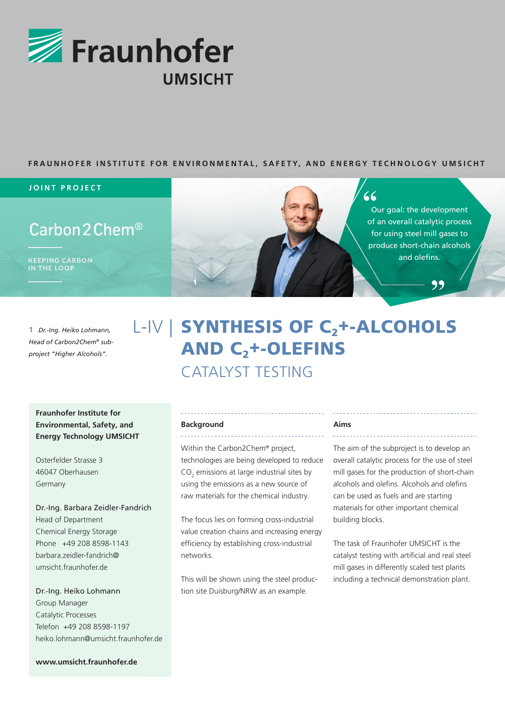

# **FRAUNHOFER INSTITUTE FOR ENVIRONMENTAL, SAFETY, AND ENERGY TECHNOLOGY UMSICHT**

### **JOINT PROJECT**

# Carbon 2 Chem<sup>®</sup>

KEEPING CARBON IN THE LOOP



# $66$

Our goal: the development of an overall catalytic process for using steel mill gases to produce short-chain alcohols and olefins.

99

**1** *Dr.-Ing. Heiko Lohmann, Head of Carbon2Chem® subproject "Higher Alcohols".*

# L-IV | SYNTHESIS OF C<sub>2</sub>+-ALCOHOLS **AND C<sub>2</sub>+-OLEFINS** CATALYST TESTING

# **Fraunhofer Institute for Environmental, Safety, and Energy Technology UMSICHT**

Osterfelder Strasse 3 46047 Oberhausen Germany

Dr.-Ing. Barbara Zeidler-Fandrich Head of Department Chemical Energy Storage Phone +49 208 8598-1143 barbara.zeidler-fandrich@ umsicht.fraunhofer.de

Dr.-Ing. Heiko Lohmann Group Manager Catalytic Processes Telefon +49 208 8598-1197 heiko.lohmann@umsicht.fraunhofer.de

**www.umsicht.fraunhofer.de**

### **Background** <u>. . . . . . . . . . . . . .</u>

Within the Carbon2Chem® project, technologies are being developed to reduce  $CO<sub>2</sub>$  emissions at large industrial sites by using the emissions as a new source of raw materials for the chemical industry.

The focus lies on forming cross-industrial value creation chains and increasing energy efficiency by establishing cross-industrial networks.

This will be shown using the steel production site Duisburg/NRW as an example.

### **Aims**

The aim of the subproject is to develop an overall catalytic process for the use of steel mill gases for the production of short-chain alcohols and olefins. Alcohols and olefins can be used as fuels and are starting materials for other important chemical building blocks.

The task of Fraunhofer UMSICHT is the catalyst testing with artificial and real steel mill gases in differently scaled test plants including a technical demonstration plant.